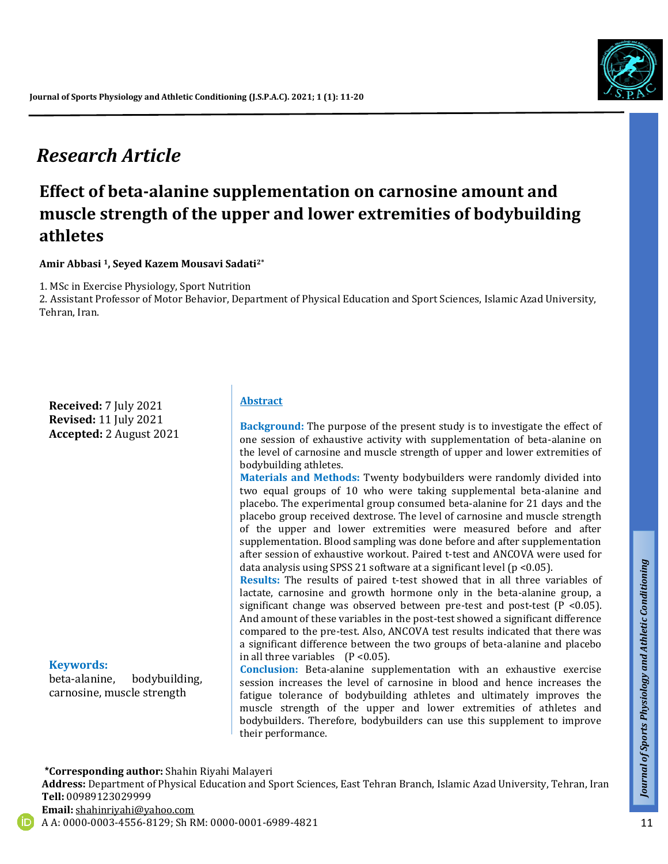# *Research Article*

# **Effect of beta-alanine supplementation on carnosine amount and muscle strength of the upper and lower extremities of bodybuilding athletes**

#### **Amir Abbasi 1, Seyed Kazem Mousavi Sadati2\***

1. MSc in Exercise Physiology, Sport Nutrition

2. Assistant Professor of Motor Behavior, Department of Physical Education and Sport Sciences, Islamic Azad University, Tehran, Iran.

**Received:** 7 July 2021 **Revised:** 11 July 2021 **Accepted:** 2 August 2021

#### **Keywords:**

beta-alanine, bodybuilding, carnosine, muscle strength

#### **Abstract**

**Background:** The purpose of the present study is to investigate the effect of one session of exhaustive activity with supplementation of beta-alanine on the level of carnosine and muscle strength of upper and lower extremities of bodybuilding athletes.

**Materials and Methods:** Twenty bodybuilders were randomly divided into two equal groups of 10 who were taking supplemental beta-alanine and placebo. The experimental group consumed beta-alanine for 21 days and the placebo group received dextrose. The level of carnosine and muscle strength of the upper and lower extremities were measured before and after supplementation. Blood sampling was done before and after supplementation after session of exhaustive workout. Paired t-test and ANCOVA were used for data analysis using SPSS 21 software at a significant level (p <0.05).

**Results:** The results of paired t-test showed that in all three variables of lactate, carnosine and growth hormone only in the beta-alanine group, a significant change was observed between pre-test and post-test (P <0.05). And amount of these variables in the post-test showed a significant difference compared to the pre-test. Also, ANCOVA test results indicated that there was a significant difference between the two groups of beta-alanine and placebo in all three variables (P <0.05).

**Conclusion:** Beta-alanine supplementation with an exhaustive exercise session increases the level of carnosine in blood and hence increases the fatigue tolerance of bodybuilding athletes and ultimately improves the muscle strength of the upper and lower extremities of athletes and bodybuilders. Therefore, bodybuilders can use this supplement to improve their performance.

 **\*Corresponding author:** Shahin Riyahi Malayeri

**Address:** Department of Physical Education and Sport Sciences, East Tehran Branch, Islamic Azad University, Tehran, Iran **Tell:** 00989123029999 **Email:** shahinriyahi@yahoo.com

A A: 0000-0003-4556-8129; Sh RM: 0000-0001-6989-4821



*Talk*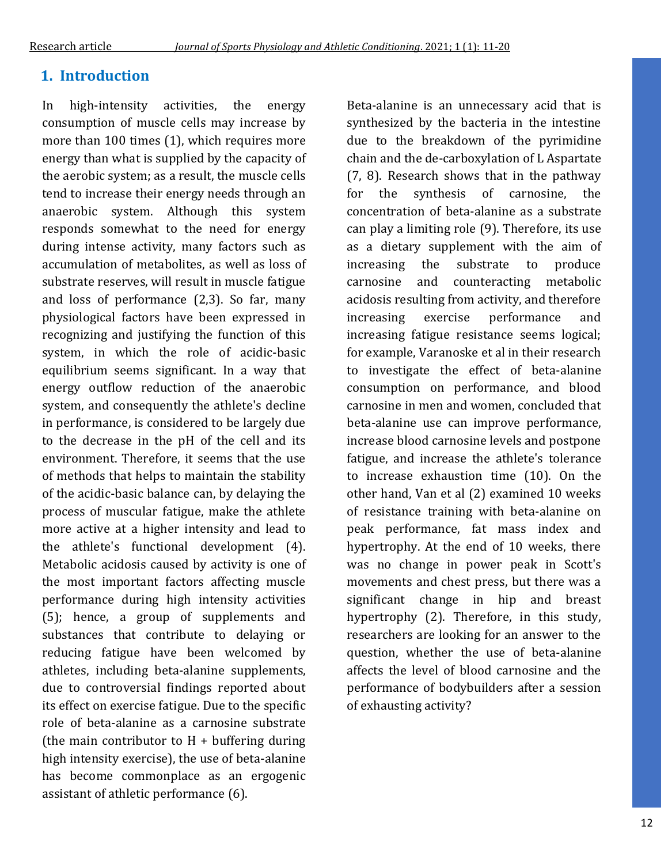## **1. Introduction**

In high-intensity activities, the energy consumption of muscle cells may increase by more than 100 times (1), which requires more energy than what is supplied by the capacity of the aerobic system; as a result, the muscle cells tend to increase their energy needs through an anaerobic system. Although this system responds somewhat to the need for energy during intense activity, many factors such as accumulation of metabolites, as well as loss of substrate reserves, will result in muscle fatigue and loss of performance (2,3). So far, many physiological factors have been expressed in recognizing and justifying the function of this system, in which the role of acidic-basic equilibrium seems significant. In a way that energy outflow reduction of the anaerobic system, and consequently the athlete's decline in performance, is considered to be largely due to the decrease in the pH of the cell and its environment. Therefore, it seems that the use of methods that helps to maintain the stability of the acidic-basic balance can, by delaying the process of muscular fatigue, make the athlete more active at a higher intensity and lead to the athlete's functional development (4). Metabolic acidosis caused by activity is one of the most important factors affecting muscle performance during high intensity activities (5); hence, a group of supplements and substances that contribute to delaying or reducing fatigue have been welcomed by athletes, including beta-alanine supplements, due to controversial findings reported about its effect on exercise fatigue. Due to the specific role of beta-alanine as a carnosine substrate (the main contributor to  $H +$  buffering during high intensity exercise), the use of beta-alanine has become commonplace as an ergogenic assistant of athletic performance (6).

Beta-alanine is an unnecessary acid that is synthesized by the bacteria in the intestine due to the breakdown of the pyrimidine chain and the de-carboxylation of L Aspartate (7, 8). Research shows that in the pathway for the synthesis of carnosine, the concentration of beta-alanine as a substrate can play a limiting role (9). Therefore, its use as a dietary supplement with the aim of increasing the substrate to produce carnosine and counteracting metabolic acidosis resulting from activity, and therefore increasing exercise performance and increasing fatigue resistance seems logical; for example, Varanoske et al in their research to investigate the effect of beta-alanine consumption on performance, and blood carnosine in men and women, concluded that beta-alanine use can improve performance, increase blood carnosine levels and postpone fatigue, and increase the athlete's tolerance to increase exhaustion time (10). On the other hand, Van et al (2) examined 10 weeks of resistance training with beta-alanine on peak performance, fat mass index and hypertrophy. At the end of 10 weeks, there was no change in power peak in Scott's movements and chest press, but there was a significant change in hip and breast hypertrophy (2). Therefore, in this study, researchers are looking for an answer to the question, whether the use of beta-alanine affects the level of blood carnosine and the performance of bodybuilders after a session of exhausting activity?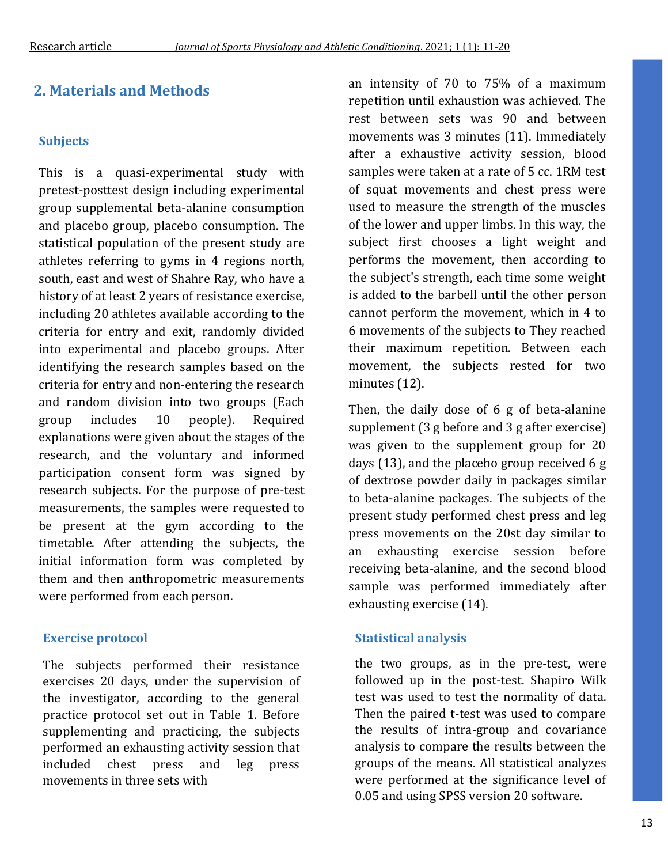### **Subjects**

This is a quasi-experimental study with pretest-posttest design including experimental group supplemental beta-alanine consumption and placebo group, placebo consumption. The statistical population of the present study are athletes referring to gyms in 4 regions north, south, east and west of Shahre Ray, who have a history of at least 2 years of resistance exercise, including 20 athletes available according to the criteria for entry and exit, randomly divided into experimental and placebo groups. After identifying the research samples based on the criteria for entry and non-entering the research and random division into two groups (Each group includes 10 people). Required explanations were given about the stages of the research, and the voluntary and informed participation consent form was signed by research subjects. For the purpose of pre-test measurements, the samples were requested to be present at the gym according to the timetable. After attending the subjects, the initial information form was completed by them and then anthropometric measurements were performed from each person.

### **Exercise protocol**

The subjects performed their resistance exercises 20 days, under the supervision of the investigator, according to the general practice protocol set out in Table 1. Before supplementing and practicing, the subjects performed an exhausting activity session that included chest press and leg press movements in three sets with

**2. Materials and Methods and intensity of 70 to 75% of a maximum** repetition until exhaustion was achieved. The rest between sets was 90 and between movements was 3 minutes (11). Immediately after a exhaustive activity session, blood samples were taken at a rate of 5 cc. 1RM test of squat movements and chest press were used to measure the strength of the muscles of the lower and upper limbs. In this way, the subject first chooses a light weight and performs the movement, then according to the subject's strength, each time some weight is added to the barbell until the other person cannot perform the movement, which in 4 to 6 movements of the subjects to They reached their maximum repetition. Between each movement, the subjects rested for two minutes (12).

> Then, the daily dose of 6 g of beta-alanine supplement (3 g before and 3 g after exercise) was given to the supplement group for 20 days (13), and the placebo group received 6 g of dextrose powder daily in packages similar to beta-alanine packages. The subjects of the present study performed chest press and leg press movements on the 20st day similar to an exhausting exercise session before receiving beta-alanine, and the second blood sample was performed immediately after exhausting exercise (14).

### **Statistical analysis**

the two groups, as in the pre-test, were followed up in the post-test. Shapiro Wilk test was used to test the normality of data. Then the paired t-test was used to compare the results of intra-group and covariance analysis to compare the results between the groups of the means. All statistical analyzes were performed at the significance level of 0.05 and using SPSS version 20 software.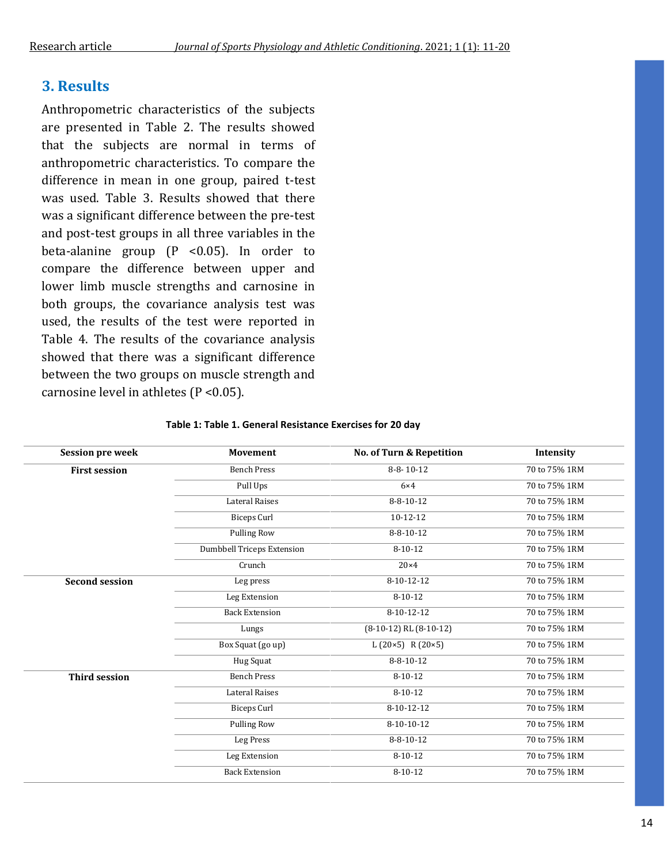## **3. Results**

Anthropometric characteristics of the subjects are presented in Table 2. The results showed that the subjects are normal in terms of anthropometric characteristics. To compare the difference in mean in one group, paired t-test was used. Table 3. Results showed that there was a significant difference between the pre-test and post-test groups in all three variables in the beta-alanine group (P <0.05). In order to compare the difference between upper and lower limb muscle strengths and carnosine in both groups, the covariance analysis test was used, the results of the test were reported in Table 4. The results of the covariance analysis showed that there was a significant difference between the two groups on muscle strength and carnosine level in athletes (P <0.05).

| <b>Session pre week</b> | <b>Movement</b>                   | No. of Turn & Repetition              | Intensity     |
|-------------------------|-----------------------------------|---------------------------------------|---------------|
| <b>First session</b>    | <b>Bench Press</b>                | $8-8-10-12$                           | 70 to 75% 1RM |
|                         | Pull Ups                          | $6\times4$                            | 70 to 75% 1RM |
|                         | <b>Lateral Raises</b>             | $8 - 8 - 10 - 12$                     | 70 to 75% 1RM |
|                         | <b>Biceps Curl</b>                | $10 - 12 - 12$                        | 70 to 75% 1RM |
|                         | <b>Pulling Row</b>                | $8 - 8 - 10 - 12$                     | 70 to 75% 1RM |
|                         | <b>Dumbbell Triceps Extension</b> | $8 - 10 - 12$                         | 70 to 75% 1RM |
|                         | Crunch                            | $20\times4$                           | 70 to 75% 1RM |
| <b>Second session</b>   | Leg press                         | 8-10-12-12                            | 70 to 75% 1RM |
|                         | Leg Extension                     | $8 - 10 - 12$                         | 70 to 75% 1RM |
|                         | <b>Back Extension</b>             | $8-10-12-12$                          | 70 to 75% 1RM |
|                         | Lungs                             | $\overline{(8-10-12)}$ RL $(8-10-12)$ | 70 to 75% 1RM |
|                         | Box Squat (go up)                 | L $(20\times5)$ R $(20\times5)$       | 70 to 75% 1RM |
|                         | Hug Squat                         | $8 - 8 - 10 - 12$                     | 70 to 75% 1RM |
| <b>Third session</b>    | <b>Bench Press</b>                | $8 - 10 - 12$                         | 70 to 75% 1RM |
|                         | <b>Lateral Raises</b>             | $8 - 10 - 12$                         | 70 to 75% 1RM |
|                         | <b>Biceps Curl</b>                | 8-10-12-12                            | 70 to 75% 1RM |
|                         | <b>Pulling Row</b>                | 8-10-10-12                            | 70 to 75% 1RM |
|                         | Leg Press                         | $8 - 8 - 10 - 12$                     | 70 to 75% 1RM |
|                         | Leg Extension                     | $8 - 10 - 12$                         | 70 to 75% 1RM |
|                         | <b>Back Extension</b>             | $8 - 10 - 12$                         | 70 to 75% 1RM |

#### **Table 1: Table 1. General Resistance Exercises for 20 day**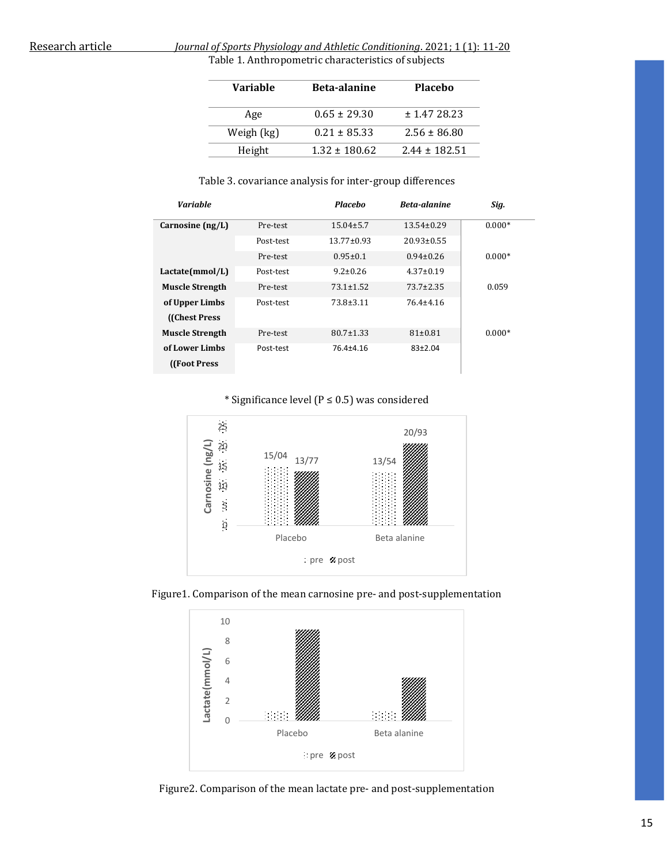#### Research article *Journal of Sports Physiology and Athletic Conditioning*. 2021; 1 (1): 11-20 Table 1. Anthropometric characteristics of subjects

| Variable   | <b>Beta-alanine</b> | <b>Placebo</b>    |
|------------|---------------------|-------------------|
| Age        | $0.65 \pm 29.30$    | ± 1.4728.23       |
| Weigh (kg) | $0.21 \pm 85.33$    | $2.56 \pm 86.80$  |
| Height     | $1.32 \pm 180.62$   | $2.44 \pm 182.51$ |

#### Table 3. covariance analysis for inter-group differences

| <b>Variable</b>        |           | <b>Placebo</b>   | Beta-alanine     | Sig.     |
|------------------------|-----------|------------------|------------------|----------|
| Carnosine $(ng/L)$     | Pre-test  | $15.04 \pm 5.7$  | $13.54 \pm 0.29$ | $0.000*$ |
|                        | Post-test | $13.77 \pm 0.93$ | $20.93 \pm 0.55$ |          |
|                        | Pre-test  | $0.95 \pm 0.1$   | $0.94 \pm 0.26$  | $0.000*$ |
| Lactate(mmol/L)        | Post-test | $9.2 \pm 0.26$   | $4.37 \pm 0.19$  |          |
| <b>Muscle Strength</b> | Pre-test  | $73.1 \pm 1.52$  | $73.7 \pm 2.35$  | 0.059    |
| of Upper Limbs         | Post-test | $73.8 \pm 3.11$  | $76.4 + 4.16$    |          |
| (Chest Press)          |           |                  |                  |          |
| <b>Muscle Strength</b> | Pre-test  | $80.7 \pm 1.33$  | $81 \pm 0.81$    | $0.000*$ |
| of Lower Limbs         | Post-test | 76.4±4.16        | $83+2.04$        |          |
| (Foot Press)           |           |                  |                  |          |

#### \* Significance level (P ≤ 0.5) was considered







Figure2. Comparison of the mean lactate pre- and post-supplementation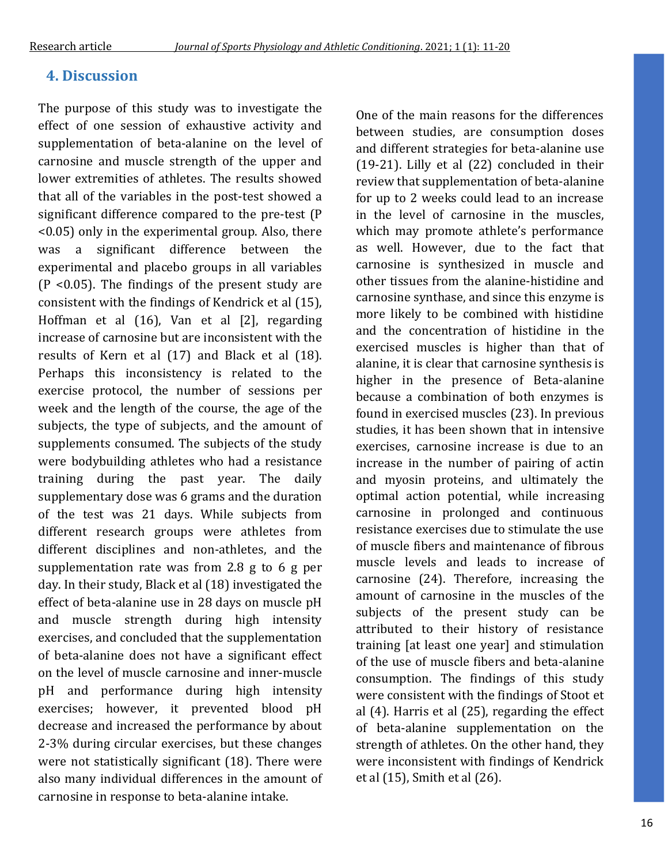## **4. Discussion**

The purpose of this study was to investigate the effect of one session of exhaustive activity and supplementation of beta-alanine on the level of carnosine and muscle strength of the upper and lower extremities of athletes. The results showed that all of the variables in the post-test showed a significant difference compared to the pre-test (P <0.05) only in the experimental group. Also, there was a significant difference between the experimental and placebo groups in all variables (P <0.05). The findings of the present study are consistent with the findings of Kendrick et al (15), Hoffman et al (16), Van et al [2], regarding increase of carnosine but are inconsistent with the results of Kern et al (17) and Black et al (18). Perhaps this inconsistency is related to the exercise protocol, the number of sessions per week and the length of the course, the age of the subjects, the type of subjects, and the amount of supplements consumed. The subjects of the study were bodybuilding athletes who had a resistance training during the past year. The daily supplementary dose was 6 grams and the duration of the test was 21 days. While subjects from different research groups were athletes from different disciplines and non-athletes, and the supplementation rate was from 2.8 g to 6 g per day. In their study, Black et al (18) investigated the effect of beta-alanine use in 28 days on muscle pH and muscle strength during high intensity exercises, and concluded that the supplementation of beta-alanine does not have a significant effect on the level of muscle carnosine and inner-muscle pH and performance during high intensity exercises; however, it prevented blood pH decrease and increased the performance by about 2-3% during circular exercises, but these changes were not statistically significant (18). There were also many individual differences in the amount of carnosine in response to beta-alanine intake.

One of the main reasons for the differences between studies, are consumption doses and different strategies for beta-alanine use (19-21). Lilly et al (22) concluded in their review that supplementation of beta-alanine for up to 2 weeks could lead to an increase in the level of carnosine in the muscles, which may promote athlete's performance as well. However, due to the fact that carnosine is synthesized in muscle and other tissues from the alanine-histidine and carnosine synthase, and since this enzyme is more likely to be combined with histidine and the concentration of histidine in the exercised muscles is higher than that of alanine, it is clear that carnosine synthesis is higher in the presence of Beta-alanine because a combination of both enzymes is found in exercised muscles (23). In previous studies, it has been shown that in intensive exercises, carnosine increase is due to an increase in the number of pairing of actin and myosin proteins, and ultimately the optimal action potential, while increasing carnosine in prolonged and continuous resistance exercises due to stimulate the use of muscle fibers and maintenance of fibrous muscle levels and leads to increase of carnosine (24). Therefore, increasing the amount of carnosine in the muscles of the subjects of the present study can be attributed to their history of resistance training [at least one year] and stimulation of the use of muscle fibers and beta-alanine consumption. The findings of this study were consistent with the findings of Stoot et al (4). Harris et al (25), regarding the effect of beta-alanine supplementation on the strength of athletes. On the other hand, they were inconsistent with findings of Kendrick et al (15), Smith et al (26).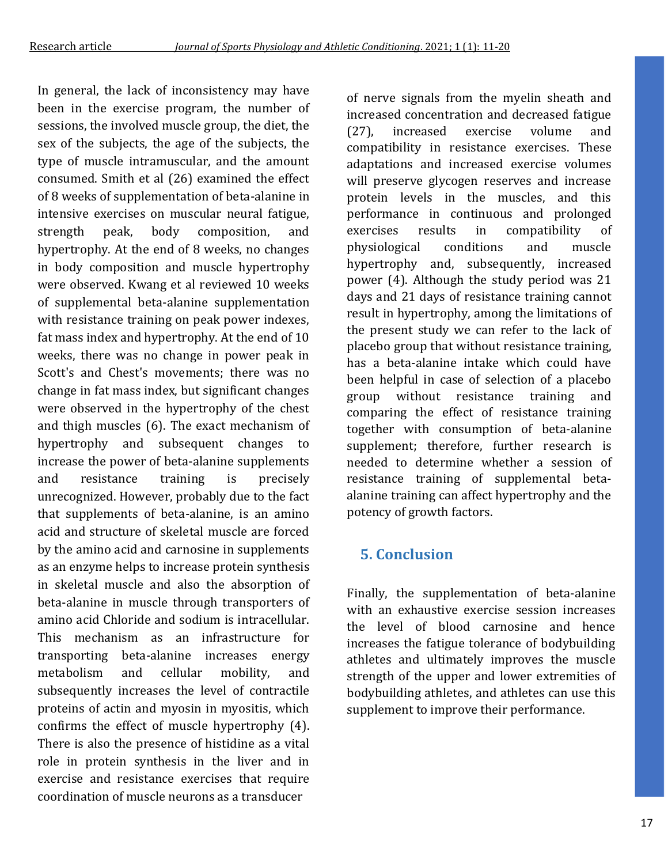In general, the lack of inconsistency may have been in the exercise program, the number of sessions, the involved muscle group, the diet, the sex of the subjects, the age of the subjects, the type of muscle intramuscular, and the amount consumed. Smith et al (26) examined the effect of 8 weeks of supplementation of beta-alanine in intensive exercises on muscular neural fatigue, strength peak, body composition, and hypertrophy. At the end of 8 weeks, no changes in body composition and muscle hypertrophy were observed. Kwang et al reviewed 10 weeks of supplemental beta-alanine supplementation with resistance training on peak power indexes, fat mass index and hypertrophy. At the end of 10 weeks, there was no change in power peak in Scott's and Chest's movements; there was no change in fat mass index, but significant changes were observed in the hypertrophy of the chest and thigh muscles (6). The exact mechanism of hypertrophy and subsequent changes to increase the power of beta-alanine supplements and resistance training is precisely unrecognized. However, probably due to the fact that supplements of beta-alanine, is an amino acid and structure of skeletal muscle are forced by the amino acid and carnosine in supplements as an enzyme helps to increase protein synthesis in skeletal muscle and also the absorption of beta-alanine in muscle through transporters of amino acid Chloride and sodium is intracellular. This mechanism as an infrastructure for transporting beta-alanine increases energy metabolism and cellular mobility, and subsequently increases the level of contractile proteins of actin and myosin in myositis, which confirms the effect of muscle hypertrophy (4). There is also the presence of histidine as a vital role in protein synthesis in the liver and in exercise and resistance exercises that require coordination of muscle neurons as a transducer

of nerve signals from the myelin sheath and increased concentration and decreased fatigue (27), increased exercise volume and compatibility in resistance exercises. These adaptations and increased exercise volumes will preserve glycogen reserves and increase protein levels in the muscles, and this performance in continuous and prolonged exercises results in compatibility of physiological conditions and muscle hypertrophy and, subsequently, increased power (4). Although the study period was 21 days and 21 days of resistance training cannot result in hypertrophy, among the limitations of the present study we can refer to the lack of placebo group that without resistance training, has a beta-alanine intake which could have been helpful in case of selection of a placebo group without resistance training and comparing the effect of resistance training together with consumption of beta-alanine supplement; therefore, further research is needed to determine whether a session of resistance training of supplemental betaalanine training can affect hypertrophy and the potency of growth factors.

## **5. Conclusion**

Finally, the supplementation of beta-alanine with an exhaustive exercise session increases the level of blood carnosine and hence increases the fatigue tolerance of bodybuilding athletes and ultimately improves the muscle strength of the upper and lower extremities of bodybuilding athletes, and athletes can use this supplement to improve their performance.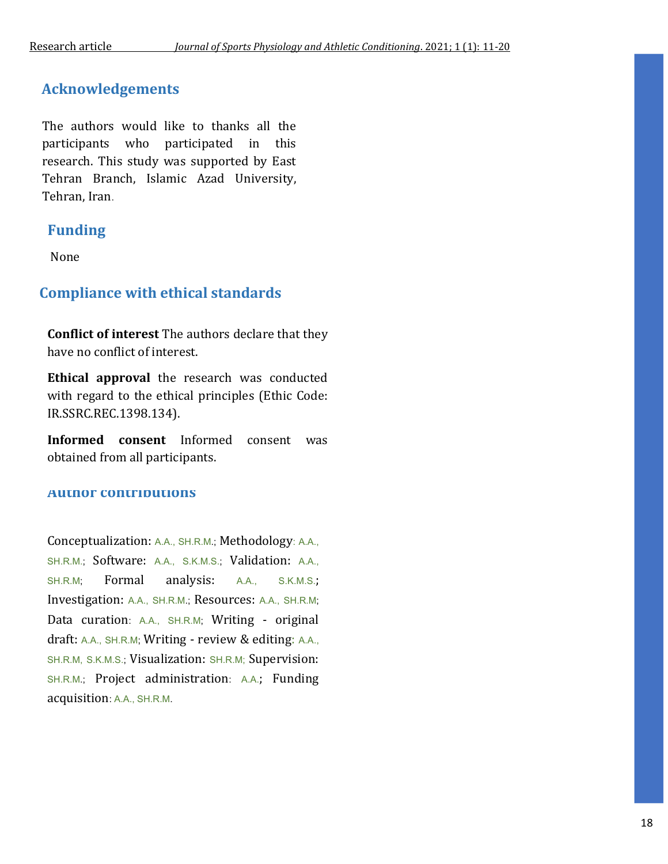## **Acknowledgements**

The authors would like to thanks all the participants who participated in this research. This study was supported by East Tehran Branch, Islamic Azad University, Tehran, Iran.

## **Funding**

None

## **Compliance with ethical standards**

**Conflict of interest** The authors declare that they have no conflict of interest.

**Ethical approval** the research was conducted with regard to the ethical principles (Ethic Code: IR.SSRC.REC.1398.134).

**Informed consent** Informed consent was obtained from all participants.

## **Author contributions**

Conceptualization: A.A., SH.R.M.; Methodology: A.A., SH.R.M.; Software: A.A., S.K.M.S.; Validation: A.A., SH.R.M; Formal analysis: A.A., S.K.M.S.; Investigation: A.A., SH.R.M.; Resources: A.A., SH.R.M; Data curation: A.A., SH.R.M; Writing - original draft: A.A., SH.R.M; Writing - review & editing: A.A., SH.R.M, S.K.M.S.; Visualization: SH.R.M; Supervision: SH.R.M.; Project administration: A.A.; Funding acquisition: A.A., SH.R.M.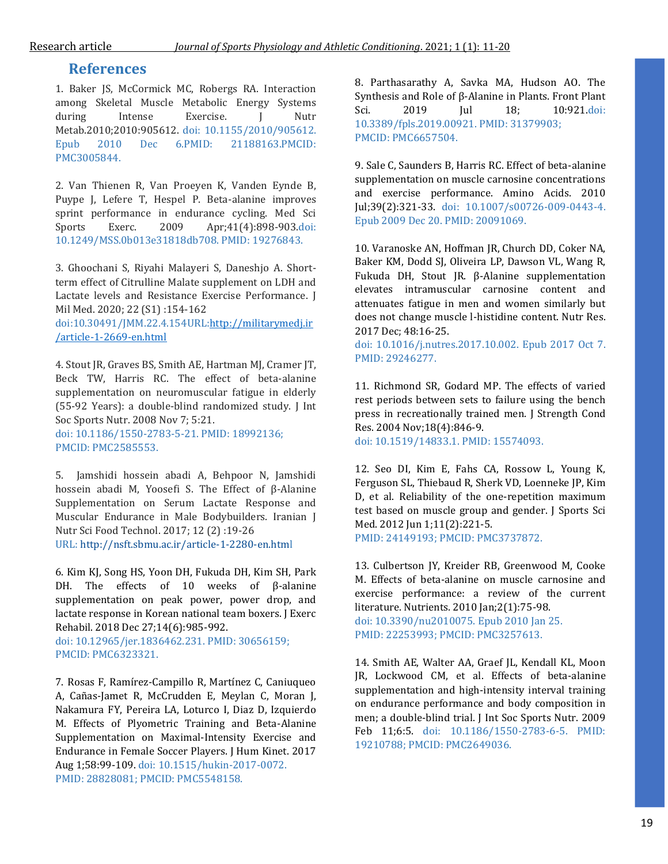### **References**

1. Baker JS, McCormick MC, Robergs RA. Interaction among Skeletal Muscle Metabolic Energy Systems during Intense Exercise. J Nutr Metab.2010;2010:905612. doi: 10.1155/2010/905612. Epub 2010 Dec 6.PMID: 21188163.PMCID: PMC3005844.

2. Van Thienen R, Van Proeyen K, Vanden Eynde B, Puype J, Lefere T, Hespel P. Beta-alanine improves sprint performance in endurance cycling. Med Sci Sports Exerc. 2009 Apr;41(4):898-903.doi: 10.1249/MSS.0b013e31818db708. PMID: 19276843.

3. Ghoochani S, Riyahi Malayeri S, Daneshjo A. Shortterm effect of Citrulline Malate supplement on LDH and Lactate levels and Resistance Exercise Performance. J Mil Med. 2020; 22 (S1) :154-162

doi:10.30491/JMM.22.4.154URL[:http://militarymedj.ir](http://militarymedj.ir/article-1-2669-en.html) [/article-1-2669-en.html](http://militarymedj.ir/article-1-2669-en.html)

4. Stout JR, Graves BS, Smith AE, Hartman MJ, Cramer JT, Beck TW, Harris RC. The effect of beta-alanine supplementation on neuromuscular fatigue in elderly (55-92 Years): a double-blind randomized study. J Int Soc Sports Nutr. 2008 Nov 7; 5:21. doi: 10.1186/1550-2783-5-21. PMID: 18992136;

PMCID: PMC2585553.

5. Jamshidi hossein abadi A, Behpoor N, Jamshidi hossein abadi M, Yoosefi S. The Effect of β-Alanine Supplementation on Serum Lactate Response and Muscular Endurance in Male Bodybuilders. Iranian J Nutr Sci Food Technol. 2017; 12 (2) :19-26 URL[: http://nsft.sbmu.ac.ir/article-1-2280-en.html](http://nsft.sbmu.ac.ir/article-1-2280-en.html)

6. Kim KJ, Song HS, Yoon DH, Fukuda DH, Kim SH, Park DH. The effects of 10 weeks of β-alanine supplementation on peak power, power drop, and lactate response in Korean national team boxers. J Exerc Rehabil. 2018 Dec 27;14(6):985-992.

doi: 10.12965/jer.1836462.231. PMID: 30656159; PMCID: PMC6323321.

7. Rosas F, Ramírez-Campillo R, Martínez C, Caniuqueo A, Cañas-Jamet R, McCrudden E, Meylan C, Moran J, Nakamura FY, Pereira LA, Loturco I, Diaz D, Izquierdo M. Effects of Plyometric Training and Beta-Alanine Supplementation on Maximal-Intensity Exercise and Endurance in Female Soccer Players. J Hum Kinet. 2017 Aug 1;58:99-109. doi: 10.1515/hukin-2017-0072. PMID: 28828081; PMCID: PMC5548158.

8. Parthasarathy A, Savka MA, Hudson AO. The Synthesis and Role of β-Alanine in Plants. Front Plant Sci. 2019 Jul 18; 10:921.doi: 10.3389/fpls.2019.00921. PMID: 31379903; PMCID: PMC6657504.

9. Sale C, Saunders B, Harris RC. Effect of beta-alanine supplementation on muscle carnosine concentrations and exercise performance. Amino Acids. 2010 Jul;39(2):321-33. doi: 10.1007/s00726-009-0443-4. Epub 2009 Dec 20. PMID: 20091069.

10. Varanoske AN, Hoffman JR, Church DD, Coker NA, Baker KM, Dodd SJ, Oliveira LP, Dawson VL, Wang R, Fukuda DH, Stout JR. β-Alanine supplementation elevates intramuscular carnosine content and attenuates fatigue in men and women similarly but does not change muscle l-histidine content. Nutr Res. 2017 Dec; 48:16-25.

doi: 10.1016/j.nutres.2017.10.002. Epub 2017 Oct 7. PMID: 29246277.

11. Richmond SR, Godard MP. The effects of varied rest periods between sets to failure using the bench press in recreationally trained men. J Strength Cond Res. 2004 Nov;18(4):846-9.

doi: 10.1519/14833.1. PMID: 15574093.

12. Seo DI, Kim E, Fahs CA, Rossow L, Young K, Ferguson SL, Thiebaud R, Sherk VD, Loenneke JP, Kim D, et al. Reliability of the one-repetition maximum test based on muscle group and gender. J Sports Sci Med. 2012 Jun 1;11(2):221-5. PMID: 24149193; PMCID: PMC3737872.

13. Culbertson JY, Kreider RB, Greenwood M, Cooke M. Effects of beta-alanine on muscle carnosine and exercise performance: a review of the current literature. Nutrients. 2010 Jan;2(1):75-98.

doi: 10.3390/nu2010075. Epub 2010 Jan 25. PMID: 22253993; PMCID: PMC3257613.

14. Smith AE, Walter AA, Graef JL, Kendall KL, Moon JR, Lockwood CM, et al. Effects of beta-alanine supplementation and high-intensity interval training on endurance performance and body composition in men; a double-blind trial. J Int Soc Sports Nutr. 2009 Feb 11;6:5. doi: 10.1186/1550-2783-6-5. PMID: 19210788; PMCID: PMC2649036.